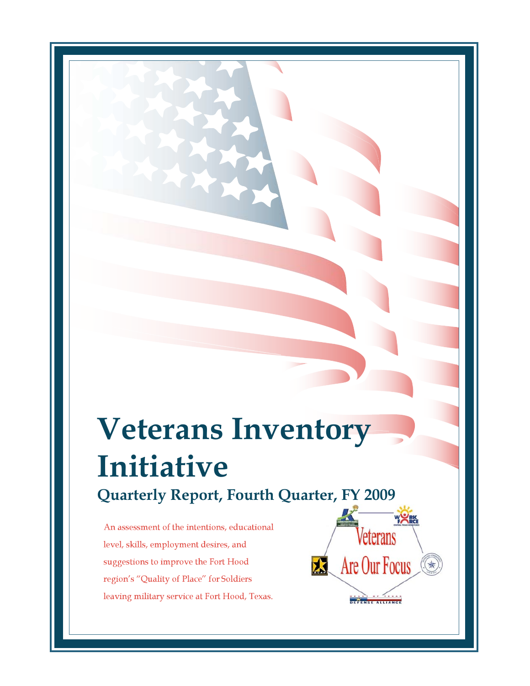# **Veterans Inventory Initiative Quarterly Report, Fourth Quarter, FY 2009**

An assessment of the intentions, educational level, skills, employment desires, and suggestions to improve the Fort Hood region's "Quality of Place" for Soldiers leaving military service at Fort Hood, Texas.

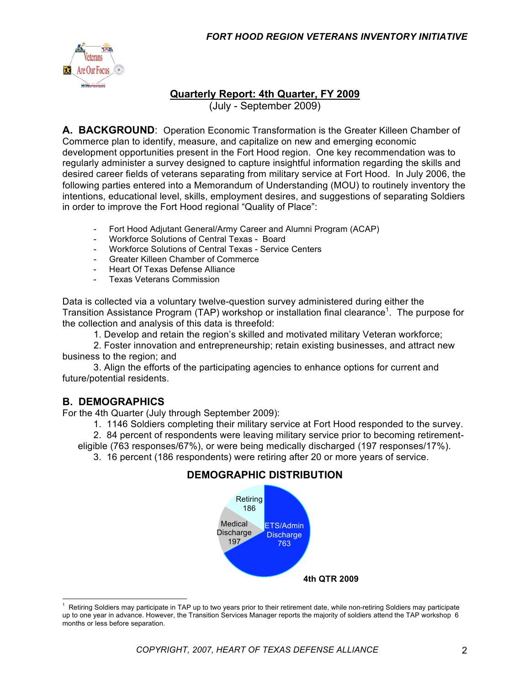

#### **Quarterly Report: 4th Quarter, FY 2009**

(July - September 2009)

**A. BACKGROUND**: Operation Economic Transformation is the Greater Killeen Chamber of Commerce plan to identify, measure, and capitalize on new and emerging economic development opportunities present in the Fort Hood region. One key recommendation was to regularly administer a survey designed to capture insightful information regarding the skills and desired career fields of veterans separating from military service at Fort Hood. In July 2006, the following parties entered into a Memorandum of Understanding (MOU) to routinely inventory the intentions, educational level, skills, employment desires, and suggestions of separating Soldiers in order to improve the Fort Hood regional "Quality of Place":

- Fort Hood Adjutant General/Army Career and Alumni Program (ACAP)
- Workforce Solutions of Central Texas Board
- Workforce Solutions of Central Texas Service Centers
- Greater Killeen Chamber of Commerce
- Heart Of Texas Defense Alliance
- Texas Veterans Commission

Data is collected via a voluntary twelve-question survey administered during either the Transition Assistance Program (TAP) workshop or installation final clearance<sup>1</sup>. The purpose for the collection and analysis of this data is threefold:

1. Develop and retain the region's skilled and motivated military Veteran workforce;

2. Foster innovation and entrepreneurship; retain existing businesses, and attract new business to the region; and

3. Align the efforts of the participating agencies to enhance options for current and future/potential residents.

#### **B. DEMOGRAPHICS**

For the 4th Quarter (July through September 2009):

1. 1146 Soldiers completing their military service at Fort Hood responded to the survey.

2. 84 percent of respondents were leaving military service prior to becoming retirementeligible (763 responses/67%), or were being medically discharged (197 responses/17%).

3. 16 percent (186 respondents) were retiring after 20 or more years of service.

#### **DEMOGRAPHIC DISTRIBUTION**



 $\frac{1}{1}$  Retiring Soldiers may participate in TAP up to two years prior to their retirement date, while non-retiring Soldiers may participate up to one year in advance. However, the Transition Services Manager reports the majority of soldiers attend the TAP workshop 6 months or less before separation.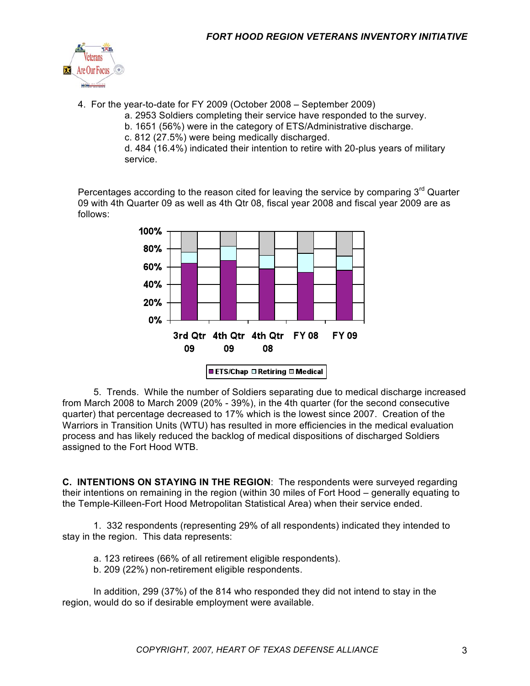

4. For the year-to-date for FY 2009 (October 2008 – September 2009)

a. 2953 Soldiers completing their service have responded to the survey.

- b. 1651 (56%) were in the category of ETS/Administrative discharge.
- c. 812 (27.5%) were being medically discharged.

d. 484 (16.4%) indicated their intention to retire with 20-plus years of military service.

Percentages according to the reason cited for leaving the service by comparing  $3<sup>rd</sup>$  Quarter 09 with 4th Quarter 09 as well as 4th Qtr 08, fiscal year 2008 and fiscal year 2009 are as follows:



5. Trends. While the number of Soldiers separating due to medical discharge increased from March 2008 to March 2009 (20% - 39%), in the 4th quarter (for the second consecutive quarter) that percentage decreased to 17% which is the lowest since 2007. Creation of the Warriors in Transition Units (WTU) has resulted in more efficiencies in the medical evaluation process and has likely reduced the backlog of medical dispositions of discharged Soldiers assigned to the Fort Hood WTB.

**C. INTENTIONS ON STAYING IN THE REGION**: The respondents were surveyed regarding their intentions on remaining in the region (within 30 miles of Fort Hood – generally equating to the Temple-Killeen-Fort Hood Metropolitan Statistical Area) when their service ended.

1. 332 respondents (representing 29% of all respondents) indicated they intended to stay in the region. This data represents:

a. 123 retirees (66% of all retirement eligible respondents).

b. 209 (22%) non-retirement eligible respondents.

In addition, 299 (37%) of the 814 who responded they did not intend to stay in the region, would do so if desirable employment were available.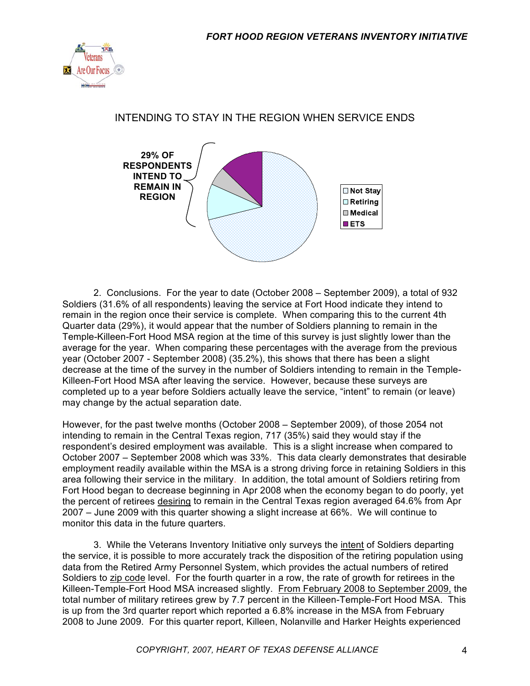

### INTENDING TO STAY IN THE REGION WHEN SERVICE ENDS



2. Conclusions. For the year to date (October 2008 – September 2009), a total of 932 Soldiers (31.6% of all respondents) leaving the service at Fort Hood indicate they intend to remain in the region once their service is complete. When comparing this to the current 4th Quarter data (29%), it would appear that the number of Soldiers planning to remain in the Temple-Killeen-Fort Hood MSA region at the time of this survey is just slightly lower than the average for the year. When comparing these percentages with the average from the previous year (October 2007 - September 2008) (35.2%), this shows that there has been a slight decrease at the time of the survey in the number of Soldiers intending to remain in the Temple-Killeen-Fort Hood MSA after leaving the service. However, because these surveys are completed up to a year before Soldiers actually leave the service, "intent" to remain (or leave) may change by the actual separation date.

However, for the past twelve months (October 2008 – September 2009), of those 2054 not intending to remain in the Central Texas region, 717 (35%) said they would stay if the respondent's desired employment was available. This is a slight increase when compared to October 2007 – September 2008 which was 33%. This data clearly demonstrates that desirable employment readily available within the MSA is a strong driving force in retaining Soldiers in this area following their service in the military. In addition, the total amount of Soldiers retiring from Fort Hood began to decrease beginning in Apr 2008 when the economy began to do poorly, yet the percent of retirees desiring to remain in the Central Texas region averaged 64.6% from Apr 2007 – June 2009 with this quarter showing a slight increase at 66%. We will continue to monitor this data in the future quarters.

3. While the Veterans Inventory Initiative only surveys the intent of Soldiers departing the service, it is possible to more accurately track the disposition of the retiring population using data from the Retired Army Personnel System, which provides the actual numbers of retired Soldiers to zip code level. For the fourth quarter in a row, the rate of growth for retirees in the Killeen-Temple-Fort Hood MSA increased slightly. From February 2008 to September 2009, the total number of military retirees grew by 7.7 percent in the Killeen-Temple-Fort Hood MSA. This is up from the 3rd quarter report which reported a 6.8% increase in the MSA from February 2008 to June 2009. For this quarter report, Killeen, Nolanville and Harker Heights experienced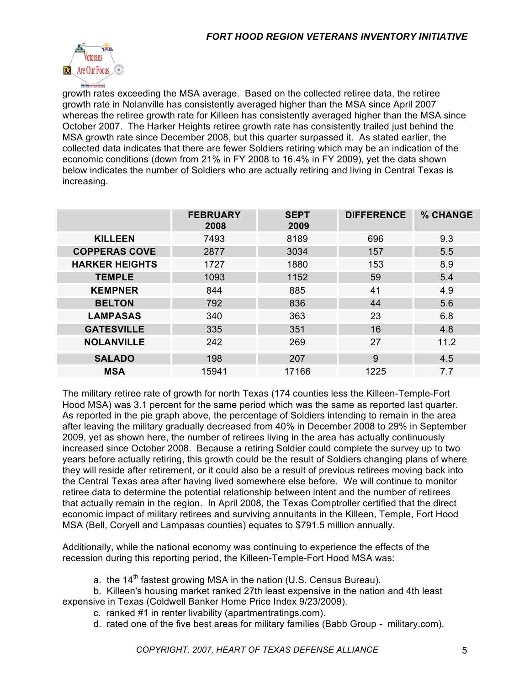

growth rates exceeding the MSA average. Based on the collected retiree data, the retiree growth rate in Nolanville has consistently averaged higher than the MSA since April 2007 whereas the retiree growth rate for Killeen has consistently averaged higher than the MSA since October 2007. The Harker Heights retiree growth rate has consistently trailed just behind the MSA growth rate since December 2008, but this quarter surpassed it. As stated earlier, the collected data indicates that there are fewer Soldiers retiring which may be an indication of the economic conditions (down from 21% in FY 2008 to 16.4% in FY 2009), yet the data shown below indicates the number of Soldiers who are actually retiring and living in Central Texas is increasing.

|                       | <b>FEBRUARY</b><br>2008 | <b>SEPT</b><br>2009 | <b>DIFFERENCE</b> | % CHANGE |
|-----------------------|-------------------------|---------------------|-------------------|----------|
| <b>KILLEEN</b>        | 7493                    | 8189                | 696               | 9.3      |
| <b>COPPERAS COVE</b>  | 2877                    | 3034                | 157               | 5.5      |
| <b>HARKER HEIGHTS</b> | 1727                    | 1880                | 153               | 8.9      |
| <b>TEMPLE</b>         | 1093                    | 1152                | 59                | 5.4      |
| <b>KEMPNER</b>        | 844                     | 885                 | 41                | 4.9      |
| <b>BELTON</b>         | 792                     | 836                 | 44                | 5.6      |
| <b>LAMPASAS</b>       | 340                     | 363                 | 23                | 6.8      |
| <b>GATESVILLE</b>     | 335                     | 351                 | 16                | 4.8      |
| <b>NOLANVILLE</b>     | 242                     | 269                 | 27                | 11.2     |
| <b>SALADO</b>         | 198                     | 207                 | 9                 | 4.5      |
| <b>MSA</b>            | 15941                   | 17166               | 1225              | 7.7      |

The military retiree rate of growth for north Texas (174 counties less the Killeen-Temple-Fort Hood MSA) was 3.1 percent for the same period which was the same as reported last quarter. As reported in the pie graph above, the percentage of Soldiers intending to remain in the area after leaving the military gradually decreased from 40% in December 2008 to 29% in September 2009, yet as shown here, the number of retirees living in the area has actually continuously increased since October 2008. Because a retiring Soldier could complete the survey up to two years before actually retiring, this growth could be the result of Soldiers changing plans of where they will reside after retirement, or it could also be a result of previous retirees moving back into the Central Texas area after having lived somewhere else before. We will continue to monitor retiree data to determine the potential relationship between intent and the number of retirees that actually remain in the region. In April 2008, the Texas Comptroller certified that the direct economic impact of military retirees and surviving annuitants in the Killeen, Temple, Fort Hood MSA (Bell, Coryell and Lampasas counties) equates to \$791.5 million annually.

Additionally, while the national economy was continuing to experience the effects of the recession during this reporting period, the Killeen-Temple-Fort Hood MSA was:

a. the  $14<sup>th</sup>$  fastest growing MSA in the nation (U.S. Census Bureau).

b. Killeen's housing market ranked 27th least expensive in the nation and 4th least expensive in Texas (Coldwell Banker Home Price Index 9/23/2009).

c. ranked #1 in renter livability (apartmentratings.com).

d. rated one of the five best areas for military families (Babb Group - military.com).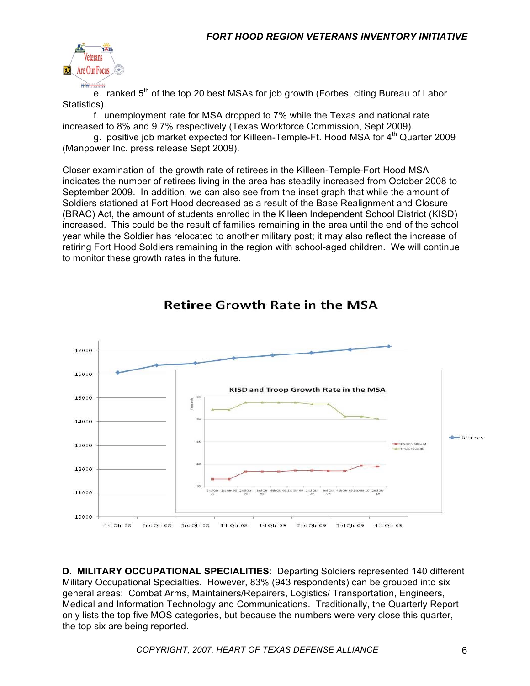

e. ranked  $5<sup>th</sup>$  of the top 20 best MSAs for job growth (Forbes, citing Bureau of Labor Statistics).

f. unemployment rate for MSA dropped to 7% while the Texas and national rate increased to 8% and 9.7% respectively (Texas Workforce Commission, Sept 2009).

g. positive job market expected for Killeen-Temple-Ft. Hood MSA for 4<sup>th</sup> Quarter 2009 (Manpower Inc. press release Sept 2009).

Closer examination of the growth rate of retirees in the Killeen-Temple-Fort Hood MSA indicates the number of retirees living in the area has steadily increased from October 2008 to September 2009. In addition, we can also see from the inset graph that while the amount of Soldiers stationed at Fort Hood decreased as a result of the Base Realignment and Closure (BRAC) Act, the amount of students enrolled in the Killeen Independent School District (KISD) increased. This could be the result of families remaining in the area until the end of the school year while the Soldier has relocated to another military post; it may also reflect the increase of retiring Fort Hood Soldiers remaining in the region with school-aged children. We will continue to monitor these growth rates in the future.



### **Retiree Growth Rate in the MSA**

**D. MILITARY OCCUPATIONAL SPECIALITIES**: Departing Soldiers represented 140 different Military Occupational Specialties. However, 83% (943 respondents) can be grouped into six general areas: Combat Arms, Maintainers/Repairers, Logistics/ Transportation, Engineers, Medical and Information Technology and Communications. Traditionally, the Quarterly Report only lists the top five MOS categories, but because the numbers were very close this quarter, the top six are being reported.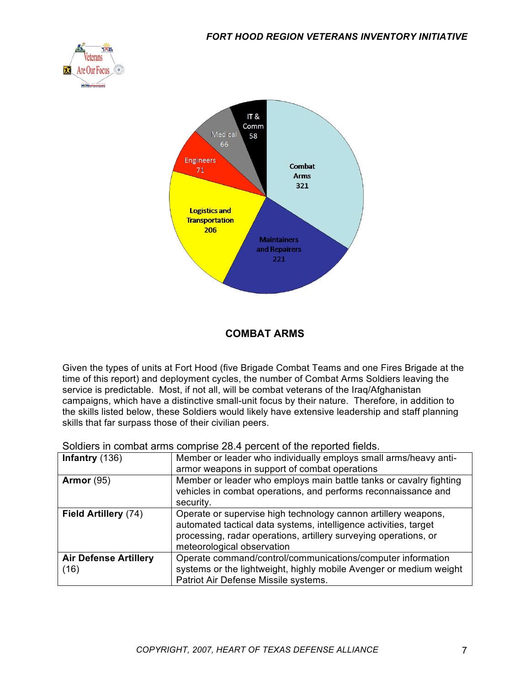



#### **COMBAT ARMS**

Given the types of units at Fort Hood (five Brigade Combat Teams and one Fires Brigade at the time of this report) and deployment cycles, the number of Combat Arms Soldiers leaving the service is predictable. Most, if not all, will be combat veterans of the Iraq/Afghanistan campaigns, which have a distinctive small-unit focus by their nature. Therefore, in addition to the skills listed below, these Soldiers would likely have extensive leadership and staff planning skills that far surpass those of their civilian peers.

Soldiers in combat arms comprise 28.4 percent of the reported fields.

| Infantry $(136)$                     | Member or leader who individually employs small arms/heavy anti-                                                                                                                                                                     |
|--------------------------------------|--------------------------------------------------------------------------------------------------------------------------------------------------------------------------------------------------------------------------------------|
|                                      | armor weapons in support of combat operations                                                                                                                                                                                        |
| <b>Armor</b> (95)                    | Member or leader who employs main battle tanks or cavalry fighting<br>vehicles in combat operations, and performs reconnaissance and<br>security.                                                                                    |
| Field Artillery (74)                 | Operate or supervise high technology cannon artillery weapons,<br>automated tactical data systems, intelligence activities, target<br>processing, radar operations, artillery surveying operations, or<br>meteorological observation |
| <b>Air Defense Artillery</b><br>(16) | Operate command/control/communications/computer information<br>systems or the lightweight, highly mobile Avenger or medium weight<br>Patriot Air Defense Missile systems.                                                            |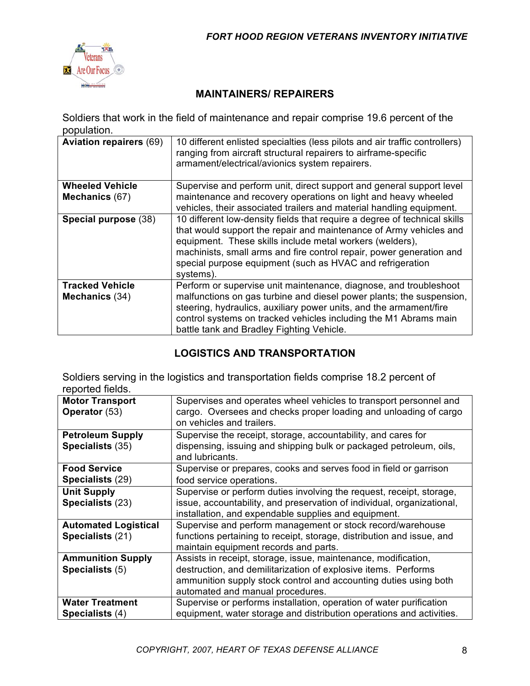

### **MAINTAINERS/ REPAIRERS**

Soldiers that work in the field of maintenance and repair comprise 19.6 percent of the population.

| <b>Aviation repairers (69)</b> | 10 different enlisted specialties (less pilots and air traffic controllers)<br>ranging from aircraft structural repairers to airframe-specific<br>armament/electrical/avionics system repairers.                                                                                                                                                              |
|--------------------------------|---------------------------------------------------------------------------------------------------------------------------------------------------------------------------------------------------------------------------------------------------------------------------------------------------------------------------------------------------------------|
| <b>Wheeled Vehicle</b>         | Supervise and perform unit, direct support and general support level                                                                                                                                                                                                                                                                                          |
| Mechanics (67)                 | maintenance and recovery operations on light and heavy wheeled<br>vehicles, their associated trailers and material handling equipment.                                                                                                                                                                                                                        |
| Special purpose (38)           | 10 different low-density fields that require a degree of technical skills<br>that would support the repair and maintenance of Army vehicles and<br>equipment. These skills include metal workers (welders),<br>machinists, small arms and fire control repair, power generation and<br>special purpose equipment (such as HVAC and refrigeration<br>systems). |
| <b>Tracked Vehicle</b>         | Perform or supervise unit maintenance, diagnose, and troubleshoot                                                                                                                                                                                                                                                                                             |
| Mechanics (34)                 | malfunctions on gas turbine and diesel power plants; the suspension,<br>steering, hydraulics, auxiliary power units, and the armament/fire<br>control systems on tracked vehicles including the M1 Abrams main<br>battle tank and Bradley Fighting Vehicle.                                                                                                   |

#### **LOGISTICS AND TRANSPORTATION**

Soldiers serving in the logistics and transportation fields comprise 18.2 percent of reported fields.

| <b>Motor Transport</b><br>Operator (53)     | Supervises and operates wheel vehicles to transport personnel and<br>cargo. Oversees and checks proper loading and unloading of cargo<br>on vehicles and trailers. |
|---------------------------------------------|--------------------------------------------------------------------------------------------------------------------------------------------------------------------|
| <b>Petroleum Supply</b><br>Specialists (35) | Supervise the receipt, storage, accountability, and cares for<br>dispensing, issuing and shipping bulk or packaged petroleum, oils,<br>and lubricants.             |
| <b>Food Service</b>                         | Supervise or prepares, cooks and serves food in field or garrison                                                                                                  |
| Specialists (29)                            | food service operations.                                                                                                                                           |
| <b>Unit Supply</b>                          | Supervise or perform duties involving the request, receipt, storage,                                                                                               |
| Specialists (23)                            | issue, accountability, and preservation of individual, organizational,                                                                                             |
|                                             | installation, and expendable supplies and equipment.                                                                                                               |
| <b>Automated Logistical</b>                 | Supervise and perform management or stock record/warehouse                                                                                                         |
| Specialists (21)                            | functions pertaining to receipt, storage, distribution and issue, and                                                                                              |
|                                             | maintain equipment records and parts.                                                                                                                              |
| <b>Ammunition Supply</b>                    | Assists in receipt, storage, issue, maintenance, modification,                                                                                                     |
| Specialists (5)                             | destruction, and demilitarization of explosive items. Performs                                                                                                     |
|                                             | ammunition supply stock control and accounting duties using both                                                                                                   |
|                                             | automated and manual procedures.                                                                                                                                   |
| <b>Water Treatment</b>                      | Supervise or performs installation, operation of water purification                                                                                                |
| Specialists (4)                             | equipment, water storage and distribution operations and activities.                                                                                               |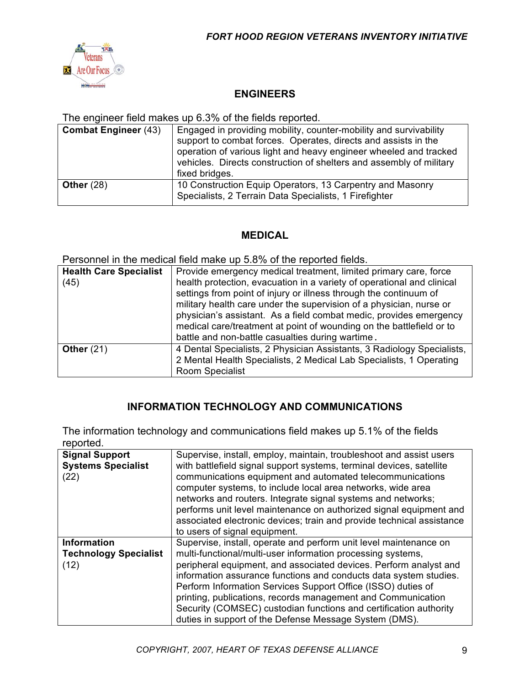

#### **ENGINEERS**

The engineer field makes up 6.3% of the fields reported.

| <b>Combat Engineer (43)</b> | Engaged in providing mobility, counter-mobility and survivability<br>support to combat forces. Operates, directs and assists in the<br>operation of various light and heavy engineer wheeled and tracked<br>vehicles. Directs construction of shelters and assembly of military<br>fixed bridges. |
|-----------------------------|---------------------------------------------------------------------------------------------------------------------------------------------------------------------------------------------------------------------------------------------------------------------------------------------------|
| Other $(28)$                | 10 Construction Equip Operators, 13 Carpentry and Masonry<br>Specialists, 2 Terrain Data Specialists, 1 Firefighter                                                                                                                                                                               |

#### **MEDICAL**

Personnel in the medical field make up 5.8% of the reported fields.

| <b>Health Care Specialist</b><br>(45) | Provide emergency medical treatment, limited primary care, force<br>health protection, evacuation in a variety of operational and clinical<br>settings from point of injury or illness through the continuum of<br>military health care under the supervision of a physician, nurse or<br>physician's assistant. As a field combat medic, provides emergency<br>medical care/treatment at point of wounding on the battlefield or to<br>battle and non-battle casualties during wartime. |
|---------------------------------------|------------------------------------------------------------------------------------------------------------------------------------------------------------------------------------------------------------------------------------------------------------------------------------------------------------------------------------------------------------------------------------------------------------------------------------------------------------------------------------------|
| Other $(21)$                          | 4 Dental Specialists, 2 Physician Assistants, 3 Radiology Specialists,<br>2 Mental Health Specialists, 2 Medical Lab Specialists, 1 Operating<br>Room Specialist                                                                                                                                                                                                                                                                                                                         |

#### **INFORMATION TECHNOLOGY AND COMMUNICATIONS**

The information technology and communications field makes up 5.1% of the fields reported.

| <b>Signal Support</b><br><b>Systems Specialist</b><br>(22) | Supervise, install, employ, maintain, troubleshoot and assist users<br>with battlefield signal support systems, terminal devices, satellite<br>communications equipment and automated telecommunications<br>computer systems, to include local area networks, wide area<br>networks and routers. Integrate signal systems and networks;<br>performs unit level maintenance on authorized signal equipment and<br>associated electronic devices; train and provide technical assistance<br>to users of signal equipment.                   |
|------------------------------------------------------------|-------------------------------------------------------------------------------------------------------------------------------------------------------------------------------------------------------------------------------------------------------------------------------------------------------------------------------------------------------------------------------------------------------------------------------------------------------------------------------------------------------------------------------------------|
| <b>Information</b><br><b>Technology Specialist</b><br>(12) | Supervise, install, operate and perform unit level maintenance on<br>multi-functional/multi-user information processing systems,<br>peripheral equipment, and associated devices. Perform analyst and<br>information assurance functions and conducts data system studies.<br>Perform Information Services Support Office (ISSO) duties of<br>printing, publications, records management and Communication<br>Security (COMSEC) custodian functions and certification authority<br>duties in support of the Defense Message System (DMS). |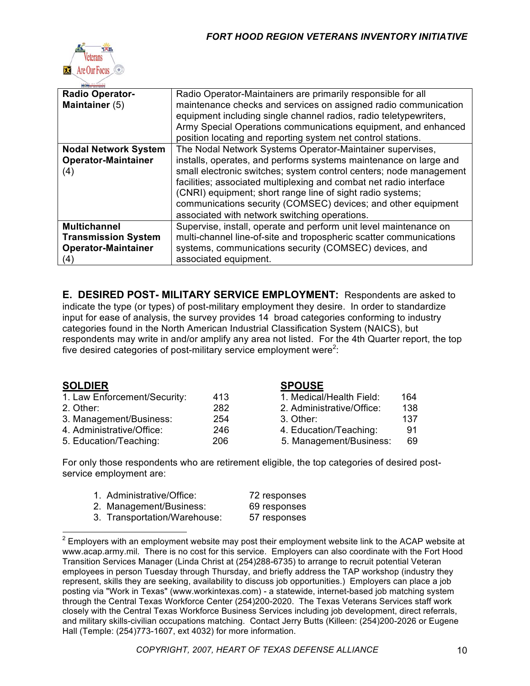

| <b>Radio Operator-</b>                                                                 | Radio Operator-Maintainers are primarily responsible for all                                                                                                                                                                                                                                                             |
|----------------------------------------------------------------------------------------|--------------------------------------------------------------------------------------------------------------------------------------------------------------------------------------------------------------------------------------------------------------------------------------------------------------------------|
| Maintainer (5)                                                                         | maintenance checks and services on assigned radio communication<br>equipment including single channel radios, radio teletypewriters,<br>Army Special Operations communications equipment, and enhanced<br>position locating and reporting system net control stations.                                                   |
| <b>Nodal Network System</b>                                                            | The Nodal Network Systems Operator-Maintainer supervises,                                                                                                                                                                                                                                                                |
| <b>Operator-Maintainer</b>                                                             | installs, operates, and performs systems maintenance on large and                                                                                                                                                                                                                                                        |
| (4)                                                                                    | small electronic switches; system control centers; node management<br>facilities; associated multiplexing and combat net radio interface<br>(CNRI) equipment; short range line of sight radio systems;<br>communications security (COMSEC) devices; and other equipment<br>associated with network switching operations. |
| <b>Multichannel</b><br><b>Transmission System</b><br><b>Operator-Maintainer</b><br>(4) | Supervise, install, operate and perform unit level maintenance on<br>multi-channel line-of-site and tropospheric scatter communications<br>systems, communications security (COMSEC) devices, and<br>associated equipment.                                                                                               |

**E. DESIRED POST- MILITARY SERVICE EMPLOYMENT:** Respondents are asked to indicate the type (or types) of post-military employment they desire. In order to standardize input for ease of analysis, the survey provides 14 broad categories conforming to industry categories found in the North American Industrial Classification System (NAICS), but respondents may write in and/or amplify any area not listed. For the 4th Quarter report, the top five desired categories of post-military service employment were<sup>2</sup>:

#### **SOLDIER SPOUSE**

| 1. Law Enforcement/Security: | 413 | 1. Medical/Health Field:  | 164 |  |
|------------------------------|-----|---------------------------|-----|--|
| 2. Other:                    | 282 | 2. Administrative/Office: | 138 |  |
| 3. Management/Business:      | 254 | 3. Other:                 | 137 |  |
| 4. Administrative/Office:    | 246 | 4. Education/Teaching:    | 91  |  |
| 5. Education/Teaching:       | 206 | 5. Management/Business:   | 69  |  |

| 1. Medical/Health Field:  | 164 |
|---------------------------|-----|
| 2. Administrative/Office: | 138 |
| 3. Other:                 | 137 |
| 4. Education/Teaching:    | 91  |
| 5. Management/Business:   | 69  |

For only those respondents who are retirement eligible, the top categories of desired postservice employment are:

| 1. Administrative/Office:    | 72 responses |
|------------------------------|--------------|
| 2. Management/Business:      | 69 responses |
| 3. Transportation/Warehouse: | 57 responses |

 <sup>2</sup> Employers with an employment website may post their employment website link to the ACAP website at www.acap.army.mil. There is no cost for this service. Employers can also coordinate with the Fort Hood Transition Services Manager (Linda Christ at (254)288-6735) to arrange to recruit potential Veteran employees in person Tuesday through Thursday, and briefly address the TAP workshop (industry they represent, skills they are seeking, availability to discuss job opportunities.) Employers can place a job posting via "Work in Texas" (www.workintexas.com) - a statewide, internet-based job matching system through the Central Texas Workforce Center (254)200-2020. The Texas Veterans Services staff work closely with the Central Texas Workforce Business Services including job development, direct referrals, and military skills-civilian occupations matching. Contact Jerry Butts (Killeen: (254)200-2026 or Eugene Hall (Temple: (254)773-1607, ext 4032) for more information.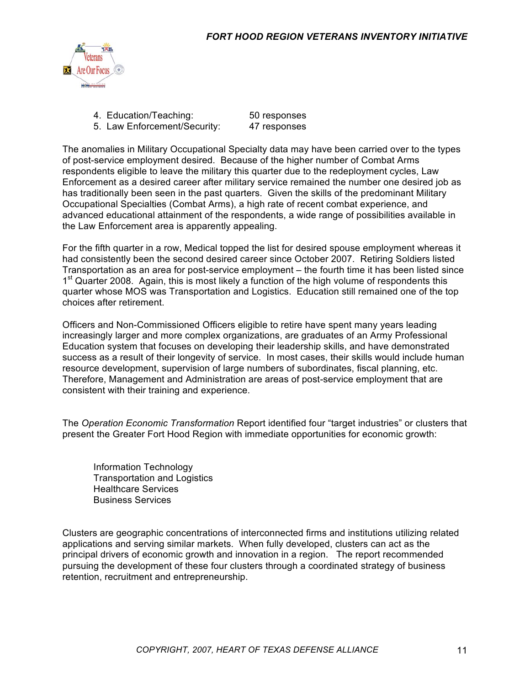

- 4. Education/Teaching: 50 responses
- 5. Law Enforcement/Security: 47 responses

The anomalies in Military Occupational Specialty data may have been carried over to the types of post-service employment desired. Because of the higher number of Combat Arms respondents eligible to leave the military this quarter due to the redeployment cycles, Law Enforcement as a desired career after military service remained the number one desired job as has traditionally been seen in the past quarters. Given the skills of the predominant Military Occupational Specialties (Combat Arms), a high rate of recent combat experience, and advanced educational attainment of the respondents, a wide range of possibilities available in the Law Enforcement area is apparently appealing.

For the fifth quarter in a row, Medical topped the list for desired spouse employment whereas it had consistently been the second desired career since October 2007. Retiring Soldiers listed Transportation as an area for post-service employment – the fourth time it has been listed since 1<sup>st</sup> Quarter 2008. Again, this is most likely a function of the high volume of respondents this quarter whose MOS was Transportation and Logistics. Education still remained one of the top choices after retirement.

Officers and Non-Commissioned Officers eligible to retire have spent many years leading increasingly larger and more complex organizations, are graduates of an Army Professional Education system that focuses on developing their leadership skills, and have demonstrated success as a result of their longevity of service. In most cases, their skills would include human resource development, supervision of large numbers of subordinates, fiscal planning, etc. Therefore, Management and Administration are areas of post-service employment that are consistent with their training and experience.

The *Operation Economic Transformation* Report identified four "target industries" or clusters that present the Greater Fort Hood Region with immediate opportunities for economic growth:

Information Technology Transportation and Logistics Healthcare Services Business Services

Clusters are geographic concentrations of interconnected firms and institutions utilizing related applications and serving similar markets. When fully developed, clusters can act as the principal drivers of economic growth and innovation in a region. The report recommended pursuing the development of these four clusters through a coordinated strategy of business retention, recruitment and entrepreneurship.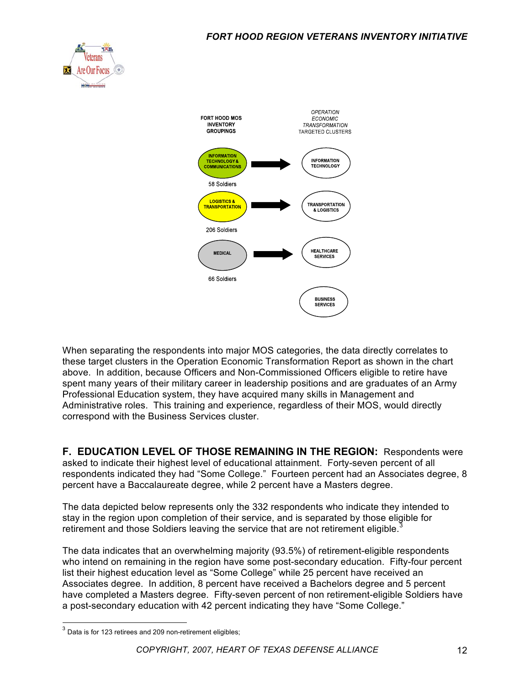



When separating the respondents into major MOS categories, the data directly correlates to these target clusters in the Operation Economic Transformation Report as shown in the chart above. In addition, because Officers and Non-Commissioned Officers eligible to retire have spent many years of their military career in leadership positions and are graduates of an Army Professional Education system, they have acquired many skills in Management and Administrative roles. This training and experience, regardless of their MOS, would directly correspond with the Business Services cluster.

**F. EDUCATION LEVEL OF THOSE REMAINING IN THE REGION:** Respondents were asked to indicate their highest level of educational attainment. Forty-seven percent of all respondents indicated they had "Some College." Fourteen percent had an Associates degree, 8 percent have a Baccalaureate degree, while 2 percent have a Masters degree.

The data depicted below represents only the 332 respondents who indicate they intended to stay in the region upon completion of their service, and is separated by those eligible for retirement and those Soldiers leaving the service that are not retirement eligible.<sup>3</sup>

The data indicates that an overwhelming majority (93.5%) of retirement-eligible respondents who intend on remaining in the region have some post-secondary education. Fifty-four percent list their highest education level as "Some College" while 25 percent have received an Associates degree. In addition, 8 percent have received a Bachelors degree and 5 percent have completed a Masters degree. Fifty-seven percent of non retirement-eligible Soldiers have a post-secondary education with 42 percent indicating they have "Some College."

 $3$  Data is for 123 retirees and 209 non-retirement eligibles;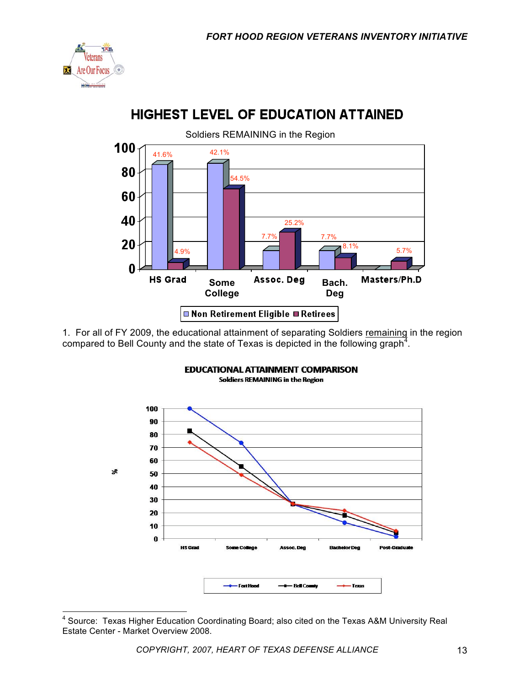

#### Soldiers REMAINING in the Region 100 42.1% 41.6% 80 54.5% 60 40 25.2% 7.7% 7.7% 20 8.1% 5.7%4.9%  $\bf{0}$ **HS Grad** Assoc. Deg Masters/Ph.D **Some Bach. College Deg □ Non Retirement Eligible ■ Retirees**

**HIGHEST LEVEL OF EDUCATION ATTAINED** 

1. For all of FY 2009, the educational attainment of separating Soldiers remaining in the region compared to Bell County and the state of Texas is depicted in the following graph<sup>4</sup>.



**EDUCATIONAL ATTAINMENT COMPARISON Soldiers REMAINING in the Region** 

<sup>————————————————————&</sup>lt;br><sup>4</sup> Source: Texas Higher Education Coordinating Board; also cited on the Texas A&M University Real i Estate Center - Market Overview 2008.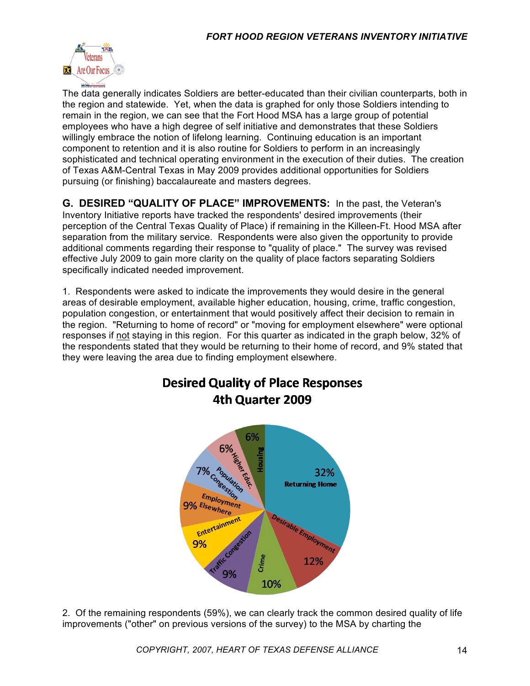

The data generally indicates Soldiers are better-educated than their civilian counterparts, both in the region and statewide. Yet, when the data is graphed for only those Soldiers intending to remain in the region, we can see that the Fort Hood MSA has a large group of potential employees who have a high degree of self initiative and demonstrates that these Soldiers willingly embrace the notion of lifelong learning. Continuing education is an important component to retention and it is also routine for Soldiers to perform in an increasingly sophisticated and technical operating environment in the execution of their duties. The creation of Texas A&M-Central Texas in May 2009 provides additional opportunities for Soldiers pursuing (or finishing) baccalaureate and masters degrees.

**G. DESIRED "QUALITY OF PLACE" IMPROVEMENTS:** In the past, the Veteran's Inventory Initiative reports have tracked the respondents' desired improvements (their perception of the Central Texas Quality of Place) if remaining in the Killeen-Ft. Hood MSA after separation from the military service. Respondents were also given the opportunity to provide additional comments regarding their response to "quality of place." The survey was revised effective July 2009 to gain more clarity on the quality of place factors separating Soldiers specifically indicated needed improvement.

1. Respondents were asked to indicate the improvements they would desire in the general areas of desirable employment, available higher education, housing, crime, traffic congestion, population congestion, or entertainment that would positively affect their decision to remain in the region. "Returning to home of record" or "moving for employment elsewhere" were optional responses if not staying in this region. For this quarter as indicated in the graph below, 32% of the respondents stated that they would be returning to their home of record, and 9% stated that they were leaving the area due to finding employment elsewhere.



2. Of the remaining respondents (59%), we can clearly track the common desired quality of life improvements ("other" on previous versions of the survey) to the MSA by charting the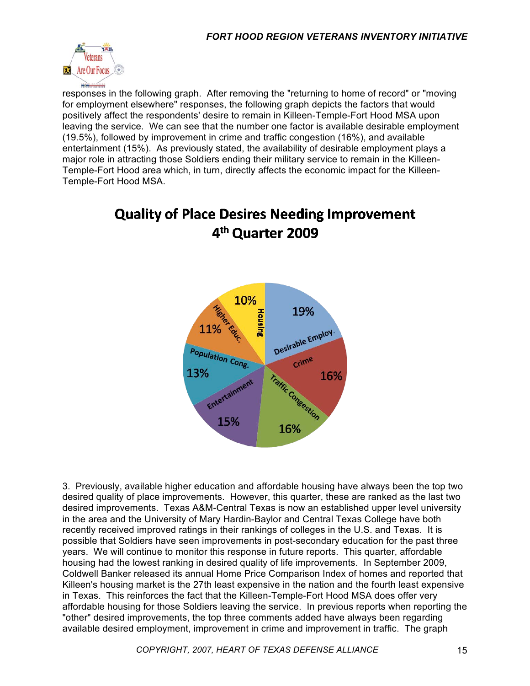

responses in the following graph. After removing the "returning to home of record" or "moving for employment elsewhere" responses, the following graph depicts the factors that would positively affect the respondents' desire to remain in Killeen-Temple-Fort Hood MSA upon leaving the service. We can see that the number one factor is available desirable employment (19.5%), followed by improvement in crime and traffic congestion (16%), and available entertainment (15%). As previously stated, the availability of desirable employment plays a major role in attracting those Soldiers ending their military service to remain in the Killeen-Temple-Fort Hood area which, in turn, directly affects the economic impact for the Killeen-Temple-Fort Hood MSA.

## **Quality of Place Desires Needing Improvement** 4<sup>th</sup> Quarter 2009



3. Previously, available higher education and affordable housing have always been the top two desired quality of place improvements. However, this quarter, these are ranked as the last two desired improvements. Texas A&M-Central Texas is now an established upper level university in the area and the University of Mary Hardin-Baylor and Central Texas College have both recently received improved ratings in their rankings of colleges in the U.S. and Texas. It is possible that Soldiers have seen improvements in post-secondary education for the past three years. We will continue to monitor this response in future reports. This quarter, affordable housing had the lowest ranking in desired quality of life improvements. In September 2009, Coldwell Banker released its annual Home Price Comparison Index of homes and reported that Killeen's housing market is the 27th least expensive in the nation and the fourth least expensive in Texas. This reinforces the fact that the Killeen-Temple-Fort Hood MSA does offer very affordable housing for those Soldiers leaving the service. In previous reports when reporting the "other" desired improvements, the top three comments added have always been regarding available desired employment, improvement in crime and improvement in traffic. The graph